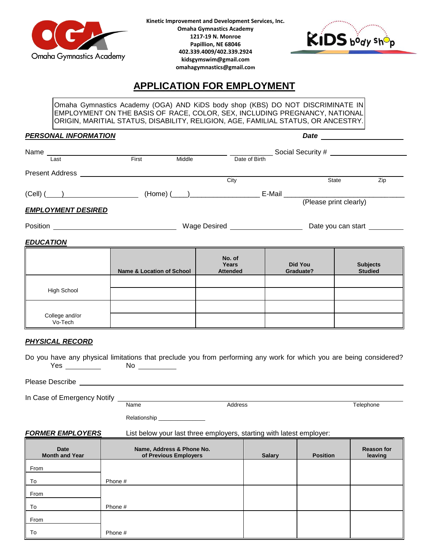

**Kinetic Improvement and Development Services, Inc. Omaha Gymnastics Academy 1217-19 N. Monroe Papillion, NE 68046 402.339.4009/402.339.2924 kidsgymswim@gmail.com omahagymnastics@gmail.com**



# **APPLICATION FOR EMPLOYMENT**

Omaha Gymnastics Academy (OGA) AND KiDS body shop (KBS) DO NOT DISCRIMINATE IN EMPLOYMENT ON THE BASIS OF RACE, COLOR, SEX, INCLUDING PREGNANCY, NATIONAL ORIGIN, MARITIAL STATUS, DISABILITY, RELIGION, AGE, FAMILIAL STATUS, OR ANCESTRY.

#### *PERSONAL INFORMATION Date*

| Name                      |                  |                               | Social Security # |        |                        |     |
|---------------------------|------------------|-------------------------------|-------------------|--------|------------------------|-----|
| Last                      | First            | Middle                        | Date of Birth     |        |                        |     |
| <b>Present Address</b>    |                  |                               |                   |        |                        |     |
|                           |                  |                               | City              |        | State                  | Zip |
|                           | $(Cell)$ $($ $)$ |                               |                   | E-Mail |                        |     |
|                           |                  |                               |                   |        | (Please print clearly) |     |
| <b>EMPLOYMENT DESIRED</b> |                  |                               |                   |        |                        |     |
| <b>Position</b>           |                  | Wage Desired Name of The Wage |                   |        | Date you can start     |     |
|                           |                  |                               |                   |        |                        |     |

## *EDUCATION*

|                           | <b>Name &amp; Location of School</b> | No. of<br>Years<br><b>Attended</b> | Did You<br>Graduate? | <b>Subjects</b><br><b>Studied</b> |
|---------------------------|--------------------------------------|------------------------------------|----------------------|-----------------------------------|
| High School               |                                      |                                    |                      |                                   |
| College and/or<br>Vo-Tech |                                      |                                    |                      |                                   |

## *PHYSICAL RECORD*

| Do you have any physical limitations that preclude you from performing any work for which you are being considered? |    |  |  |  |
|---------------------------------------------------------------------------------------------------------------------|----|--|--|--|
| Yes                                                                                                                 | Nc |  |  |  |

Please Describe

In Case of Emergency Notify

Name **Address** Address **Telephone** 

Relationship \_\_\_

#### *FORMER EMPLOYERS* List below your last three employers, starting with latest employer:

| Date<br><b>Month and Year</b> | Name, Address & Phone No.<br>of Previous Employers | <b>Salary</b> | <b>Position</b> | <b>Reason for</b><br>leaving |
|-------------------------------|----------------------------------------------------|---------------|-----------------|------------------------------|
| From                          |                                                    |               |                 |                              |
| To                            | Phone #                                            |               |                 |                              |
| From                          |                                                    |               |                 |                              |
| To                            | Phone #                                            |               |                 |                              |
| From                          |                                                    |               |                 |                              |
| $\overline{\phantom{a}}$ To   | Phone #                                            |               |                 |                              |